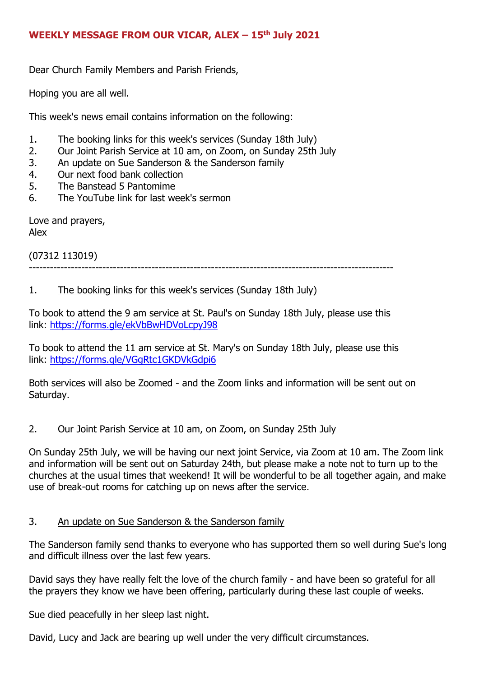### **WEEKLY MESSAGE FROM OUR VICAR, ALEX – 15th July 2021**

Dear Church Family Members and Parish Friends,

Hoping you are all well.

This week's news email contains information on the following:

- 1. The booking links for this week's services (Sunday 18th July)
- 2. Our Joint Parish Service at 10 am, on Zoom, on Sunday 25th July
- 3. An update on Sue Sanderson & the Sanderson family
- 4. Our next food bank collection
- 5. The Banstead 5 Pantomime
- 6. The YouTube link for last week's sermon

Love and prayers, Alex

(07312 113019) --------------------------------------------------------------------------------------------------------

#### 1. The booking links for this week's services (Sunday 18th July)

To book to attend the 9 am service at St. Paul's on Sunday 18th July, please use this link: <https://forms.gle/ekVbBwHDVoLcpyJ98>

To book to attend the 11 am service at St. Mary's on Sunday 18th July, please use this link: <https://forms.gle/VGgRtc1GKDVkGdpi6>

Both services will also be Zoomed - and the Zoom links and information will be sent out on Saturday.

#### 2. Our Joint Parish Service at 10 am, on Zoom, on Sunday 25th July

On Sunday 25th July, we will be having our next joint Service, via Zoom at 10 am. The Zoom link and information will be sent out on Saturday 24th, but please make a note not to turn up to the churches at the usual times that weekend! It will be wonderful to be all together again, and make use of break-out rooms for catching up on news after the service.

#### 3. An update on Sue Sanderson & the Sanderson family

The Sanderson family send thanks to everyone who has supported them so well during Sue's long and difficult illness over the last few years.

David says they have really felt the love of the church family - and have been so grateful for all the prayers they know we have been offering, particularly during these last couple of weeks.

Sue died peacefully in her sleep last night.

David, Lucy and Jack are bearing up well under the very difficult circumstances.